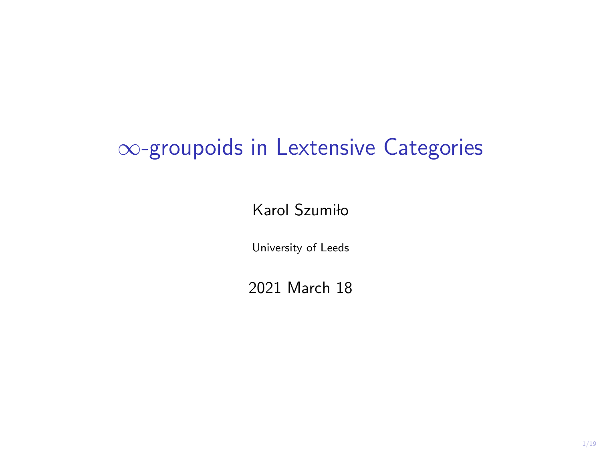# ∞-groupoids in Lextensive Categories

Karol Szumiło

University of Leeds

2021 March 18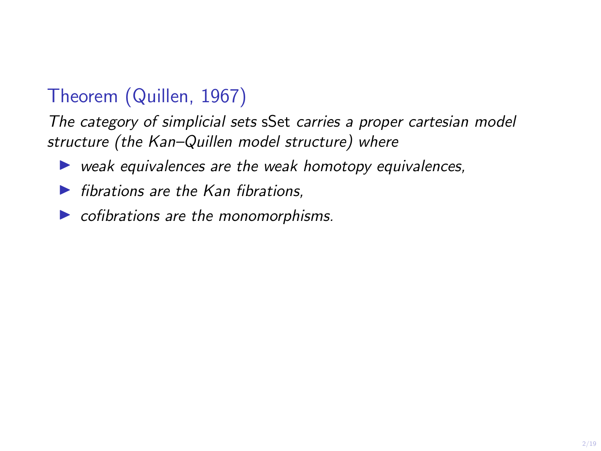## Theorem (Quillen, 1967)

The category of simplicial sets sSet carries a proper cartesian model structure (the Kan–Quillen model structure) where

- $\triangleright$  weak equivalences are the weak homotopy equivalences,
- $\blacktriangleright$  fibrations are the Kan fibrations.
- $\triangleright$  cofibrations are the monomorphisms.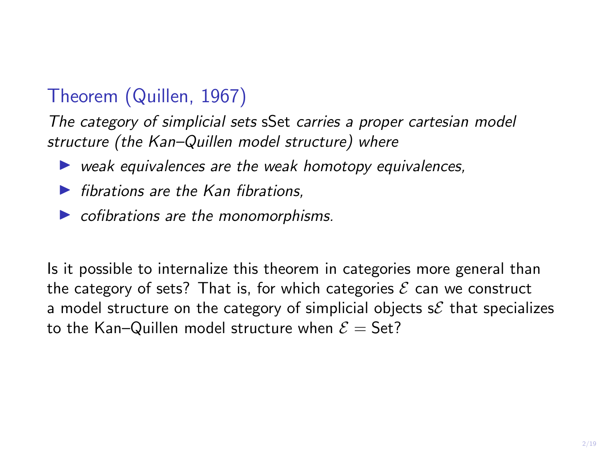## Theorem (Quillen, 1967)

The category of simplicial sets sSet carries a proper cartesian model structure (the Kan–Quillen model structure) where

- $\triangleright$  weak equivalences are the weak homotopy equivalences,
- $\blacktriangleright$  fibrations are the Kan fibrations.
- $\triangleright$  cofibrations are the monomorphisms.

Is it possible to internalize this theorem in categories more general than the category of sets? That is, for which categories  $\mathcal E$  can we construct a model structure on the category of simplicial objects  $s\mathcal{E}$  that specializes to the Kan–Quillen model structure when  $\mathcal{E} =$  Set?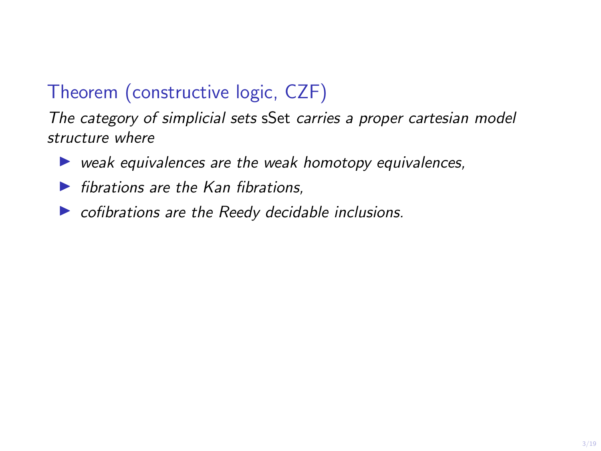## Theorem (constructive logic, CZF)

The category of simplicial sets sSet carries a proper cartesian model structure where

- $\triangleright$  weak equivalences are the weak homotopy equivalences,
- $\blacktriangleright$  fibrations are the Kan fibrations.
- $\triangleright$  cofibrations are the Reedy decidable inclusions.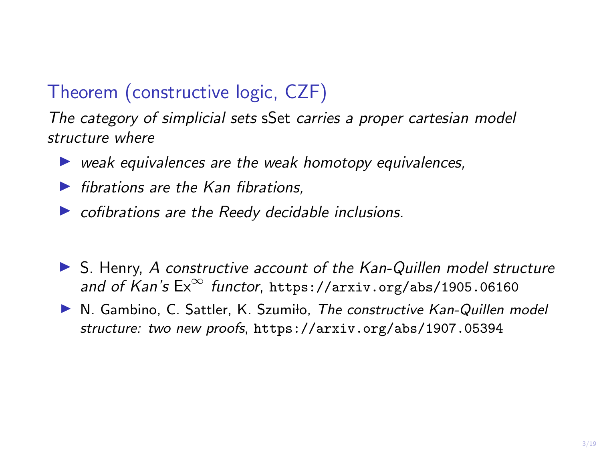## Theorem (constructive logic, CZF)

The category of simplicial sets sSet carries a proper cartesian model structure where

- $\triangleright$  weak equivalences are the weak homotopy equivalences,
- $\blacktriangleright$  fibrations are the Kan fibrations.
- $\triangleright$  cofibrations are the Reedy decidable inclusions.
- $\triangleright$  S. Henry, A constructive account of the Kan-Quillen model structure and of Kan's  $Ex^{\infty}$  functor, https://arxiv.org/abs/1905.06160
- $\triangleright$  N. Gambino, C. Sattler, K. Szumiło, The constructive Kan-Quillen model structure: two new proofs, https://arxiv.org/abs/1907.05394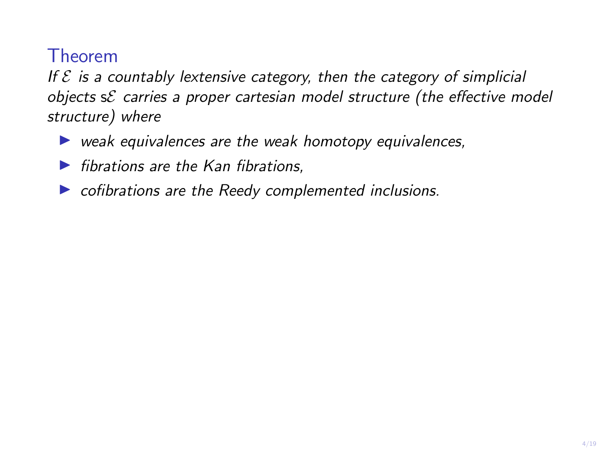If  $\mathcal E$  is a countably lextensive category, then the category of simplicial objects  $s\mathcal{E}$  carries a proper cartesian model structure (the effective model structure) where

- $\triangleright$  weak equivalences are the weak homotopy equivalences,
- $\blacktriangleright$  fibrations are the Kan fibrations.
- $\triangleright$  cofibrations are the Reedy complemented inclusions.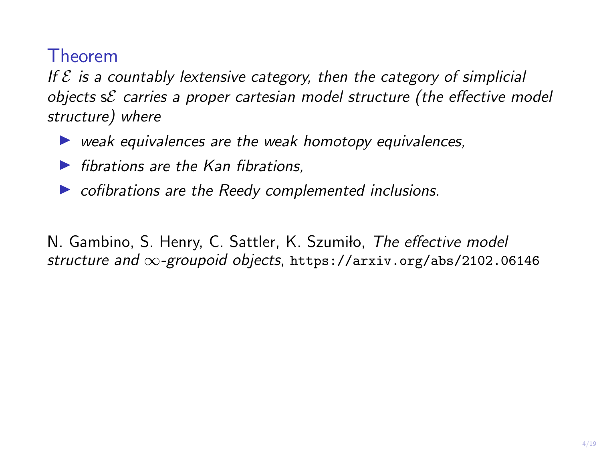If  $\mathcal E$  is a countably lextensive category, then the category of simplicial objects sE carries a proper cartesian model structure (the effective model structure) where

- $\triangleright$  weak equivalences are the weak homotopy equivalences,
- $\blacktriangleright$  fibrations are the Kan fibrations.
- $\triangleright$  cofibrations are the Reedy complemented inclusions.

N. Gambino, S. Henry, C. Sattler, K. Szumiło, The effective model structure and ∞-groupoid objects, https://arxiv.org/abs/2102.06146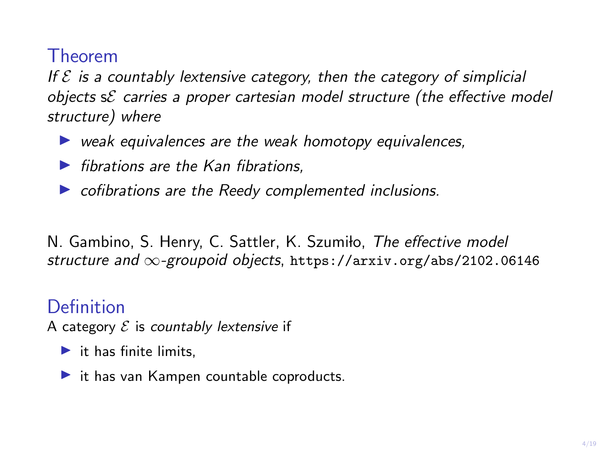If  $\mathcal E$  is a countably lextensive category, then the category of simplicial objects  $s\mathcal{E}$  carries a proper cartesian model structure (the effective model structure) where

- $\triangleright$  weak equivalences are the weak homotopy equivalences,
- $\blacktriangleright$  fibrations are the Kan fibrations.
- $\triangleright$  cofibrations are the Reedy complemented inclusions.

N. Gambino, S. Henry, C. Sattler, K. Szumiło, The effective model structure and ∞-groupoid objects, https://arxiv.org/abs/2102.06146

#### Definition

A category  $\mathcal E$  is countably lextensive if

- $\blacktriangleright$  it has finite limits,
- $\blacktriangleright$  it has van Kampen countable coproducts.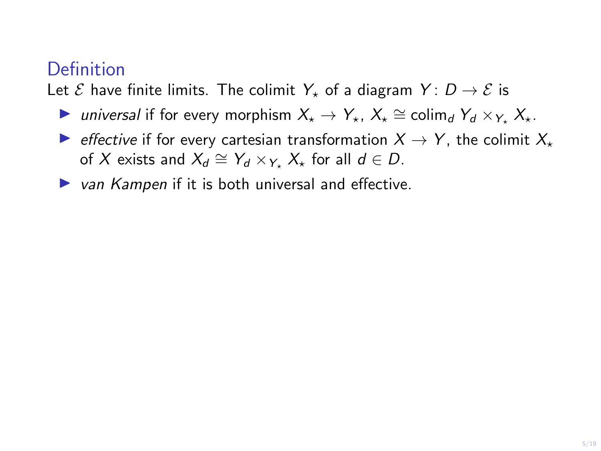Let  $\mathcal E$  have finite limits. The colimit  $Y_{\star}$  of a diagram  $Y: D \to \mathcal E$  is

- ► universal if for every morphism  $X_{\star} \to Y_{\star}$ ,  $X_{\star} \cong \text{colim}_{d} Y_{d} \times_{Y_{\star}} X_{\star}$ .
- $\triangleright$  *effective* if for every cartesian transformation  $X \rightarrow Y$ , the colimit  $X_{+}$ of X exists and  $X_d \cong Y_d \times_{Y_{\star}} X_{\star}$  for all  $d \in D$ .
- $\triangleright$  van Kampen if it is both universal and effective.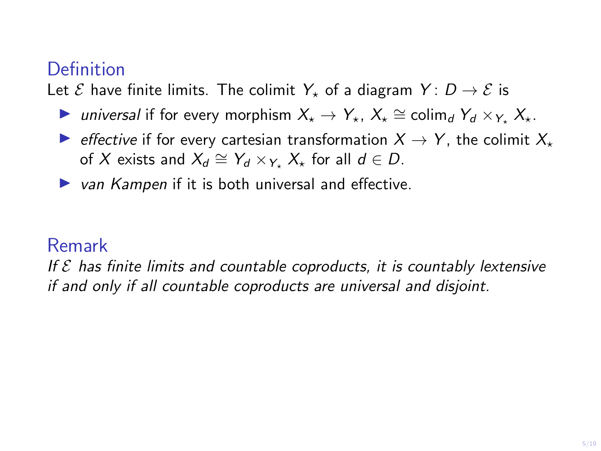Let  $\mathcal E$  have finite limits. The colimit  $Y_{\star}$  of a diagram  $Y: D \to \mathcal E$  is

- ► universal if for every morphism  $X_{\star} \to Y_{\star}$ ,  $X_{\star} \cong \text{colim}_{d} Y_{d} \times_{Y_{\star}} X_{\star}$ .
- $\triangleright$  effective if for every cartesian transformation  $X \rightarrow Y$ , the colimit  $X_{+}$ of X exists and  $X_d \cong Y_d \times_{Y_{\star}} X_{\star}$  for all  $d \in D$ .
- $\triangleright$  van Kampen if it is both universal and effective.

#### Remark

If  $\mathcal E$  has finite limits and countable coproducts, it is countably lextensive if and only if all countable coproducts are universal and disjoint.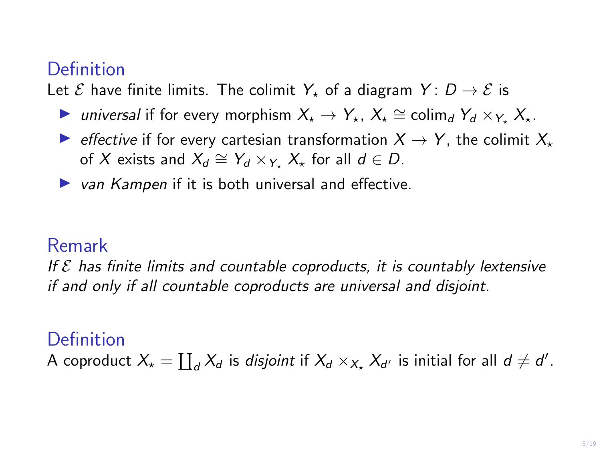Let  $\mathcal E$  have finite limits. The colimit  $Y_{\star}$  of a diagram  $Y: D \to \mathcal E$  is

- ► universal if for every morphism  $X_{\star} \to Y_{\star}$ ,  $X_{\star} \cong \text{colim}_{d} Y_{d} \times_{Y_{\star}} X_{\star}$ .
- $\triangleright$  effective if for every cartesian transformation  $X \rightarrow Y$ , the colimit  $X_{+}$ of X exists and  $X_d \cong Y_d \times_{Y_{\star}} X_{\star}$  for all  $d \in D$ .
- $\triangleright$  van Kampen if it is both universal and effective.

#### Remark

If  $\mathcal E$  has finite limits and countable coproducts, it is countably lextensive if and only if all countable coproducts are universal and disjoint.

#### Definition

A coproduct  $X_{\star} = \coprod_d X_d$  is *disjoint* if  $X_d \times_{X_{\star}} X_{d'}$  is initial for all  $d \neq d'.$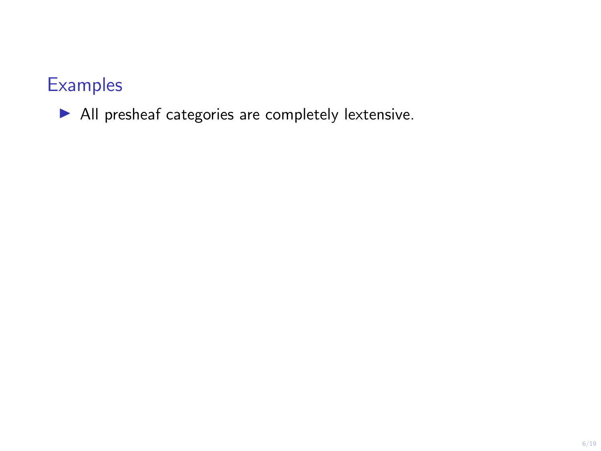$\blacktriangleright$  All presheaf categories are completely lextensive.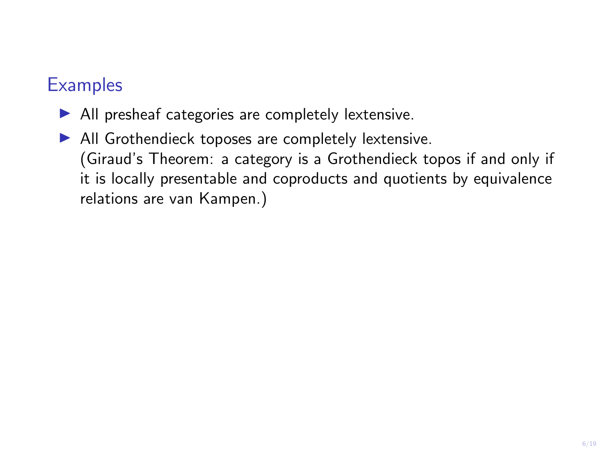- $\blacktriangleright$  All presheaf categories are completely lextensive.
- $\blacktriangleright$  All Grothendieck toposes are completely lextensive. (Giraud's Theorem: a category is a Grothendieck topos if and only if it is locally presentable and coproducts and quotients by equivalence relations are van Kampen.)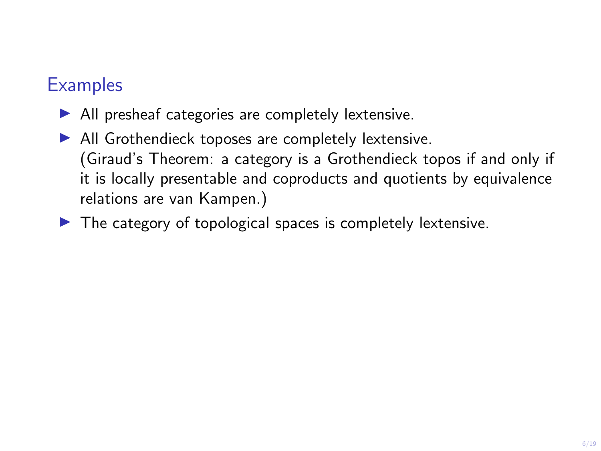- $\blacktriangleright$  All presheaf categories are completely lextensive.
- $\blacktriangleright$  All Grothendieck toposes are completely lextensive. (Giraud's Theorem: a category is a Grothendieck topos if and only if it is locally presentable and coproducts and quotients by equivalence relations are van Kampen.)
- $\blacktriangleright$  The category of topological spaces is completely lextensive.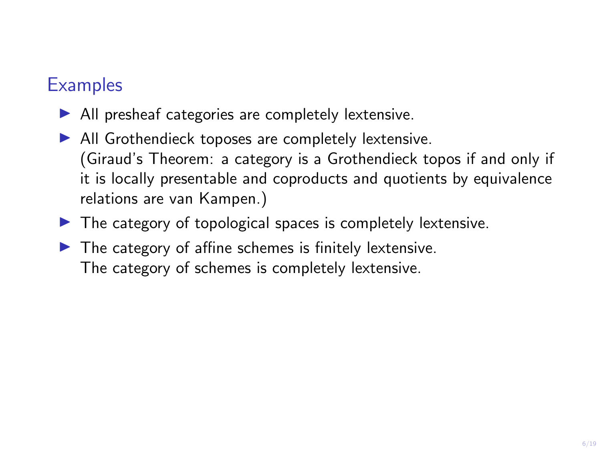- $\blacktriangleright$  All presheaf categories are completely lextensive.
- $\blacktriangleright$  All Grothendieck toposes are completely lextensive. (Giraud's Theorem: a category is a Grothendieck topos if and only if it is locally presentable and coproducts and quotients by equivalence relations are van Kampen.)
- $\blacktriangleright$  The category of topological spaces is completely lextensive.
- $\blacktriangleright$  The category of affine schemes is finitely lextensive. The category of schemes is completely lextensive.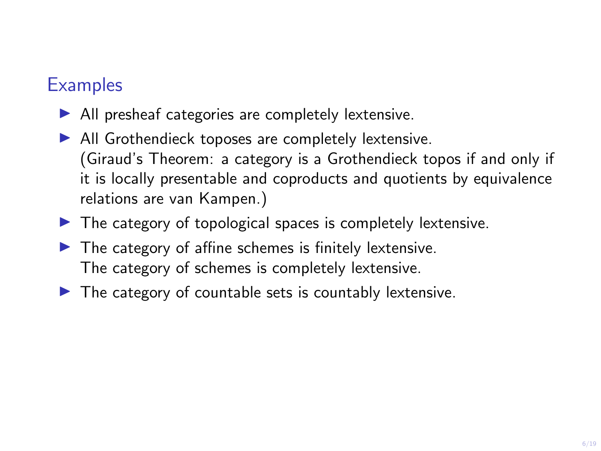- $\blacktriangleright$  All presheaf categories are completely lextensive.
- $\blacktriangleright$  All Grothendieck toposes are completely lextensive. (Giraud's Theorem: a category is a Grothendieck topos if and only if it is locally presentable and coproducts and quotients by equivalence relations are van Kampen.)
- $\blacktriangleright$  The category of topological spaces is completely lextensive.
- $\blacktriangleright$  The category of affine schemes is finitely lextensive. The category of schemes is completely lextensive.
- $\blacktriangleright$  The category of countable sets is countably lextensive.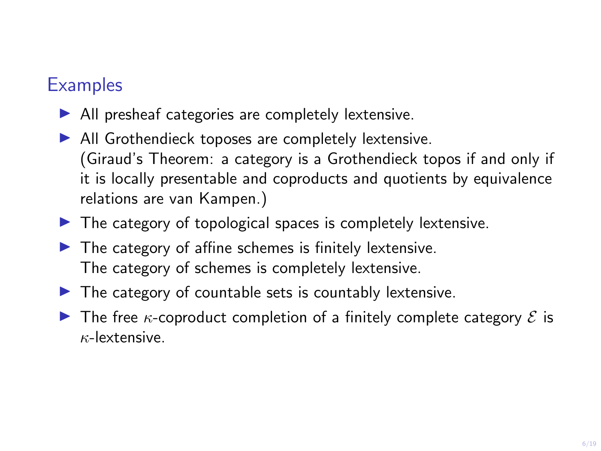- $\blacktriangleright$  All presheaf categories are completely lextensive.
- $\blacktriangleright$  All Grothendieck toposes are completely lextensive. (Giraud's Theorem: a category is a Grothendieck topos if and only if it is locally presentable and coproducts and quotients by equivalence relations are van Kampen.)
- $\blacktriangleright$  The category of topological spaces is completely lextensive.
- $\blacktriangleright$  The category of affine schemes is finitely lextensive. The category of schemes is completely lextensive.
- $\blacktriangleright$  The category of countable sets is countably lextensive.
- **In The free**  $\kappa$ **-coproduct completion of a finitely complete category**  $\mathcal{E}$  **is**  $\kappa$ -lextensive.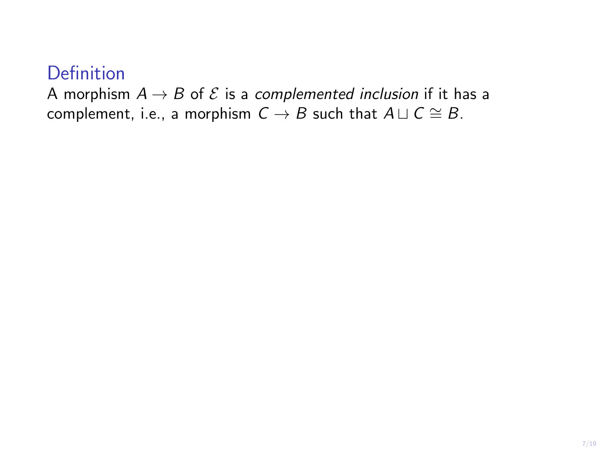A morphism  $A \rightarrow B$  of  $\mathcal E$  is a complemented inclusion if it has a complement, i.e., a morphism  $C \rightarrow B$  such that  $A \sqcup C \cong B$ .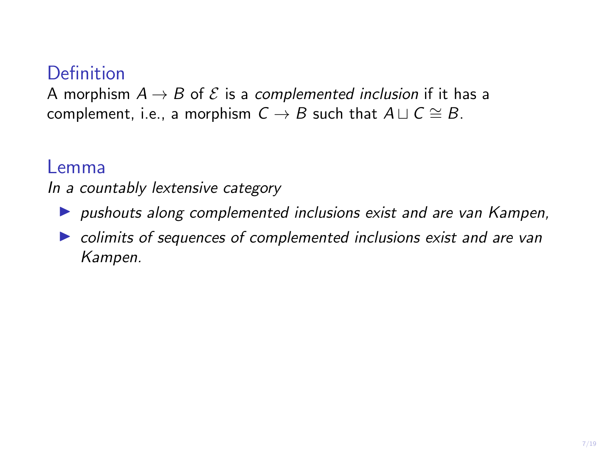A morphism  $A \rightarrow B$  of  $\mathcal E$  is a complemented inclusion if it has a complement, i.e., a morphism  $C \rightarrow B$  such that  $A \sqcup C \cong B$ .

#### Lemma

In a countably lextensive category

- $\triangleright$  pushouts along complemented inclusions exist and are van Kampen,
- $\triangleright$  colimits of sequences of complemented inclusions exist and are van Kampen.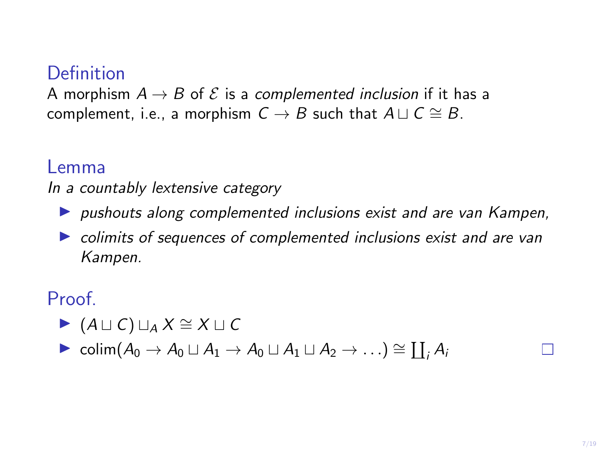A morphism  $A \rightarrow B$  of  $\mathcal E$  is a complemented inclusion if it has a complement, i.e., a morphism  $C \rightarrow B$  such that  $A \sqcup C \cong B$ .

#### Lemma

In a countably lextensive category

- $\triangleright$  pushouts along complemented inclusions exist and are van Kampen,
- $\triangleright$  colimits of sequences of complemented inclusions exist and are van Kampen.

#### Proof.

- $\blacktriangleright$  (A  $\sqcup$  C)  $\sqcup_A X \cong X \sqcup C$
- $\triangleright$  colim $(A_0 \to A_0 \sqcup A_1 \to A_0 \sqcup A_1 \sqcup A_2 \to \ldots) \cong \coprod_i A_i$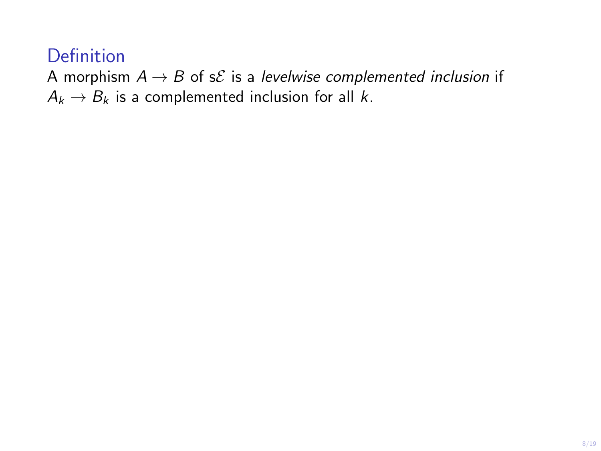A morphism  $A \rightarrow B$  of s $\mathcal E$  is a levelwise complemented inclusion if  $A_k \rightarrow B_k$  is a complemented inclusion for all k.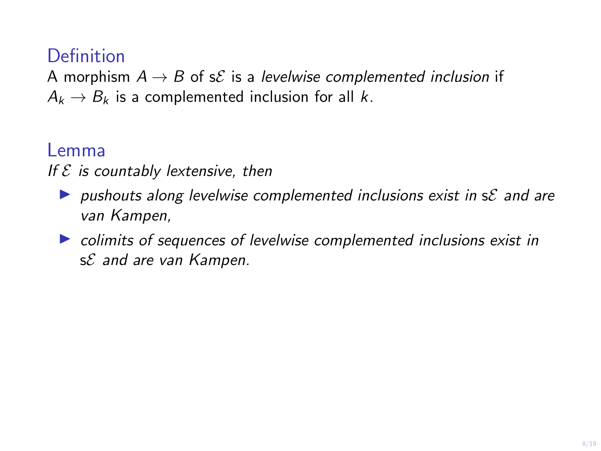A morphism  $A \rightarrow B$  of s $\mathcal E$  is a levelwise complemented inclusion if  $A_k \rightarrow B_k$  is a complemented inclusion for all k.

#### Lemma

If  $\mathcal E$  is countably lextensive, then

- **In pushouts along levelwise complemented inclusions exist in sE** and are van Kampen,
- $\triangleright$  colimits of sequences of levelwise complemented inclusions exist in sE and are van Kampen.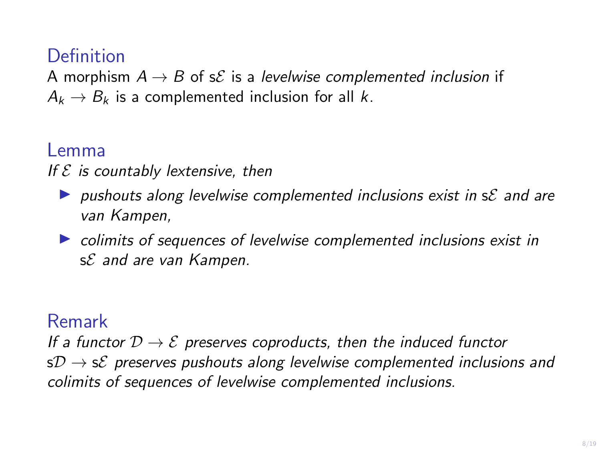A morphism  $A \rightarrow B$  of s $\mathcal E$  is a levelwise complemented inclusion if  $A_k \rightarrow B_k$  is a complemented inclusion for all k.

#### Lemma

If  $\mathcal E$  is countably lextensive, then

- $\triangleright$  pushouts along levelwise complemented inclusions exist in s $\mathcal E$  and are van Kampen,
- $\triangleright$  colimits of sequences of levelwise complemented inclusions exist in sE and are van Kampen.

#### Remark

If a functor  $D \to \mathcal{E}$  preserves coproducts, then the induced functor  $sD \rightarrow sE$  preserves pushouts along levelwise complemented inclusions and colimits of sequences of levelwise complemented inclusions.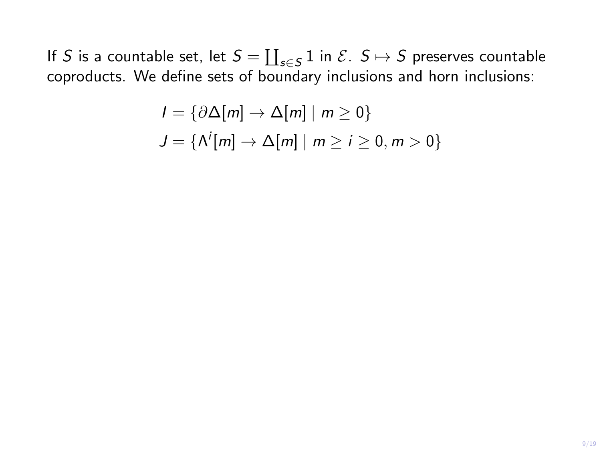$$
I = \{ \underbrace{\partial \Delta[m]} \to \underbrace{\Delta[m]} \mid m \ge 0 \}
$$
  

$$
J = \{ \underbrace{\Lambda^{i}[m]} \to \underbrace{\Delta[m]} \mid m \ge i \ge 0, m > 0 \}
$$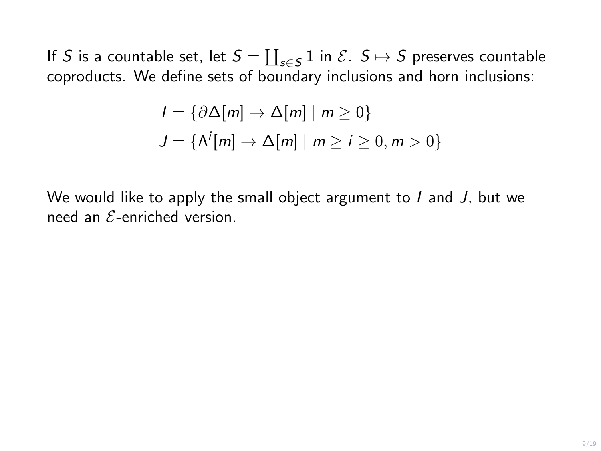$$
I = \{ \underbrace{\partial \Delta[m]} \rightarrow \underbrace{\Delta[m]} \mid m \ge 0 \}
$$
  

$$
J = \{ \underbrace{\Lambda^{i}[m]} \rightarrow \underbrace{\Delta[m]} \mid m \ge i \ge 0, m > 0 \}
$$

We would like to apply the small object argument to  $I$  and  $J$ , but we need an  $\mathcal{E}$ -enriched version.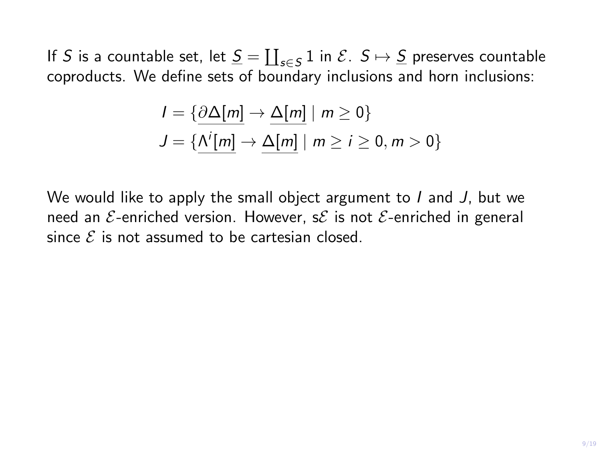$$
I = \{ \underbrace{\partial \Delta[m]} \rightarrow \underbrace{\Delta[m]} \mid m \ge 0 \}
$$
  

$$
J = \{ \underbrace{\Lambda^{i}[m]} \rightarrow \underbrace{\Delta[m]} \mid m \ge i \ge 0, m > 0 \}
$$

We would like to apply the small object argument to  $I$  and  $J$ , but we need an  $E$ -enriched version. However, s $E$  is not  $E$ -enriched in general since  $\mathcal E$  is not assumed to be cartesian closed.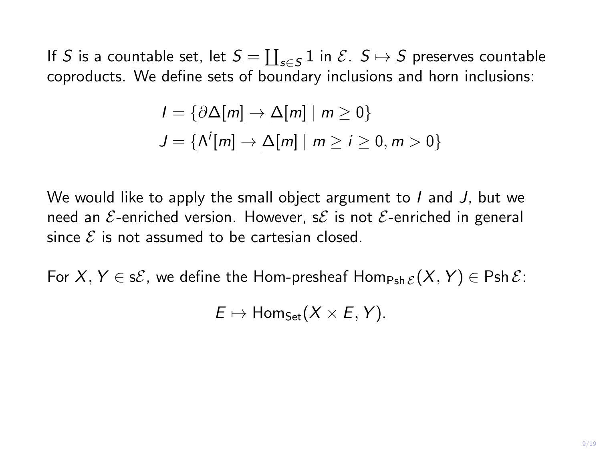$$
I = \{ \underbrace{\partial \Delta[m]} \rightarrow \underbrace{\Delta[m]} \mid m \ge 0 \}
$$
  

$$
J = \{ \underbrace{\Lambda^{i}[m]} \rightarrow \underbrace{\Delta[m]} \mid m \ge i \ge 0, m > 0 \}
$$

We would like to apply the small object argument to I and J, but we need an  $\mathcal{E}$ -enriched version. However, s $\mathcal{E}$  is not  $\mathcal{E}$ -enriched in general since  $\mathcal E$  is not assumed to be cartesian closed.

For  $X, Y \in s\mathcal{E}$ , we define the Hom-presheaf Hom<sub>Psh  $\mathcal{E}(X, Y) \in \text{Psh }\mathcal{E}$ :</sub>

 $E \mapsto$  Hom<sub>Set</sub> $(X \times E, Y)$ .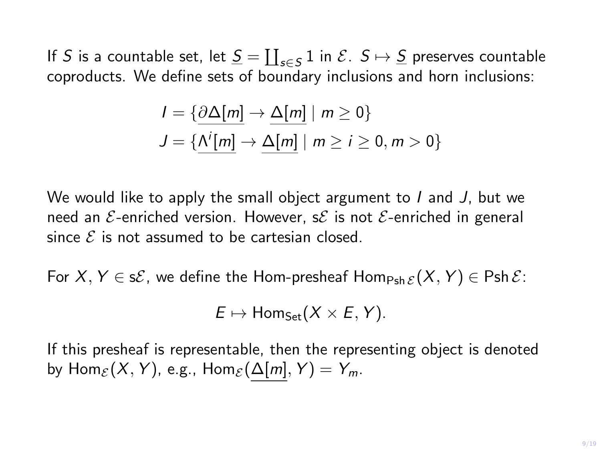$$
I = \{ \underbrace{\partial \Delta[m]} \rightarrow \underbrace{\Delta[m]} \mid m \ge 0 \}
$$
  

$$
J = \{ \underbrace{\Lambda^{i}[m]} \rightarrow \underbrace{\Delta[m]} \mid m \ge i \ge 0, m > 0 \}
$$

We would like to apply the small object argument to I and J, but we need an  $\mathcal{E}$ -enriched version. However, s $\mathcal{E}$  is not  $\mathcal{E}$ -enriched in general since  $\mathcal E$  is not assumed to be cartesian closed.

For  $X, Y \in s\mathcal{E}$ , we define the Hom-presheaf Hom<sub>Psh  $\mathcal{E}(X, Y) \in \text{Psh }\mathcal{E}$ :</sub>

$$
E \mapsto \text{Hom}_{\text{Set}}(X \times E, Y).
$$

If this presheaf is representable, then the representing object is denoted by  $\text{Hom}_{\mathcal{E}}(X, Y)$ , e.g.,  $\text{Hom}_{\mathcal{E}}(\Delta[m], Y) = Y_m$ .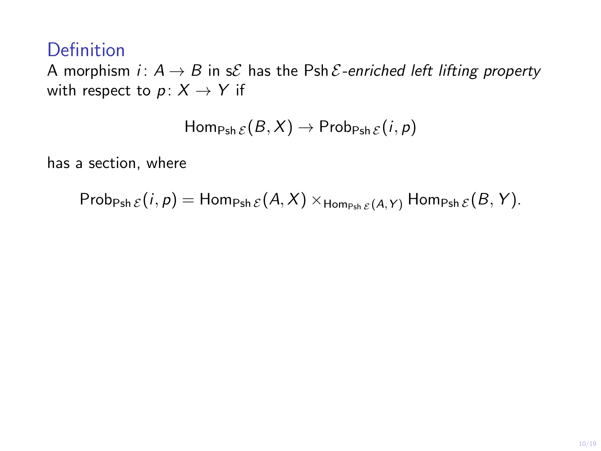A morphism *i*:  $A \rightarrow B$  in s $\mathcal E$  has the Psh  $\mathcal E$ -enriched left lifting property with respect to  $p: X \rightarrow Y$  if

$$
\mathsf{Hom}_{\mathsf{Psh}\,\mathcal{E}}(B,X)\to\mathsf{Prob}_{\mathsf{Psh}\,\mathcal{E}}(i,p)
$$

has a section, where

Prob<sub>Psh  $\mathcal{E}(i, p) =$  Hom<sub>Psh  $\mathcal{E}(A, X) \times_{\text{Hom}_{\text{Psh }\mathcal{E}}(A, Y)}$  Hom<sub>Psh  $\mathcal{E}(B, Y)$ .</sub></sub></sub>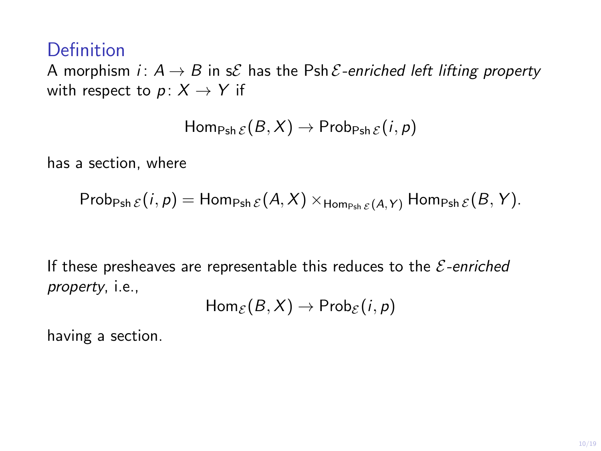A morphism *i*:  $A \rightarrow B$  in s $\mathcal E$  has the Psh  $\mathcal E$ -enriched left lifting property with respect to  $p: X \rightarrow Y$  if

$$
\mathsf{Hom}_{\mathsf{Psh}\,\mathcal{E}}(B,X)\to\mathsf{Prob}_{\mathsf{Psh}\,\mathcal{E}}(i,p)
$$

has a section, where

$$
\mathsf{Prob}_{\mathsf{Psh}\,\mathcal{E}}(i,p)=\mathsf{Hom}_{\mathsf{Psh}\,\mathcal{E}}(A,X)\times_{\mathsf{Hom}_{\mathsf{Psh}\,\mathcal{E}}(A,Y)}\mathsf{Hom}_{\mathsf{Psh}\,\mathcal{E}}(B,Y).
$$

If these presheaves are representable this reduces to the  $\mathcal{E}$ -enriched property, i.e.,

$$
Hom_{\mathcal{E}}(B,X)\to Prob_{\mathcal{E}}(i,p)
$$

having a section.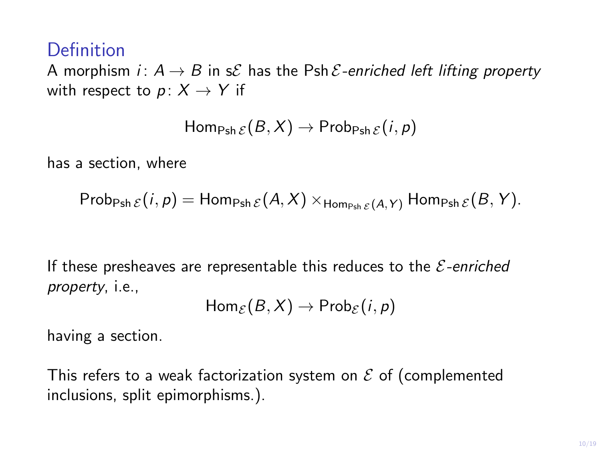A morphism *i*:  $A \rightarrow B$  in s $\mathcal E$  has the Psh  $\mathcal E$ -enriched left lifting property with respect to  $p: X \rightarrow Y$  if

$$
\mathsf{Hom}_{\mathsf{Psh}\,\mathcal{E}}(B,X)\to\mathsf{Prob}_{\mathsf{Psh}\,\mathcal{E}}(i,p)
$$

has a section, where

$$
\mathsf{Prob}_{\mathsf{Psh}\,\mathcal{E}}(i,p)=\mathsf{Hom}_{\mathsf{Psh}\,\mathcal{E}}(A,X)\times_{\mathsf{Hom}_{\mathsf{Psh}\,\mathcal{E}}(A,Y)}\mathsf{Hom}_{\mathsf{Psh}\,\mathcal{E}}(B,Y).
$$

If these presheaves are representable this reduces to the  $\mathcal{E}$ -enriched property, i.e.,

$$
Hom_{\mathcal{E}}(B,X)\to Prob_{\mathcal{E}}(i,p)
$$

having a section.

This refers to a weak factorization system on  $\mathcal E$  of (complemented inclusions, split epimorphisms.).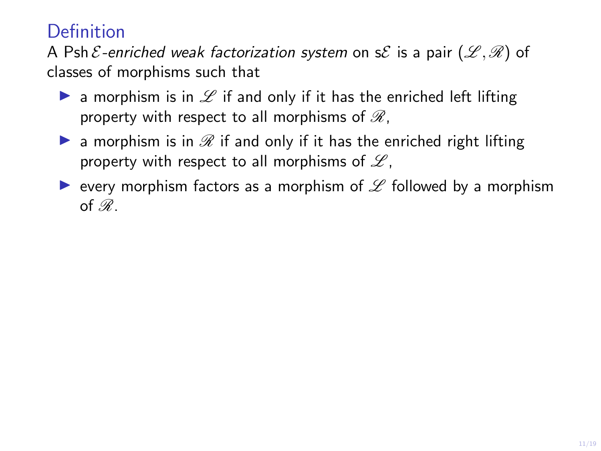A Psh  $\mathcal{E}$ -enriched weak factorization system on s $\mathcal{E}$  is a pair  $(\mathcal{L}, \mathcal{R})$  of classes of morphisms such that

- **Example 1** a morphism is in  $\mathscr L$  if and only if it has the enriched left lifting property with respect to all morphisms of  $\mathcal{R}$ ,
- **D** a morphism is in  $\mathcal{R}$  if and only if it has the enriched right lifting property with respect to all morphisms of  $\mathscr{L}$ ,
- revery morphism factors as a morphism of  $\mathscr L$  followed by a morphism of  $\mathscr{R}$ .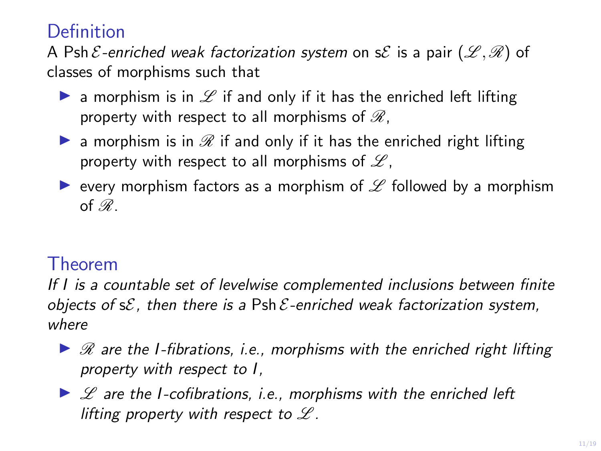A Psh  $\mathcal{E}$ -enriched weak factorization system on s $\mathcal{E}$  is a pair  $(\mathcal{L}, \mathcal{R})$  of classes of morphisms such that

- **Example 1** a morphism is in  $\mathscr L$  if and only if it has the enriched left lifting property with respect to all morphisms of  $\mathcal{R}$ ,
- **D** a morphism is in  $\mathcal{R}$  if and only if it has the enriched right lifting property with respect to all morphisms of  $\mathscr{L}$ ,
- revery morphism factors as a morphism of  $\mathscr L$  followed by a morphism of  $\mathscr{R}$ .

#### Theorem

If I is a countable set of levelwise complemented inclusions between finite objects of  $s\mathcal{E}$ , then there is a Psh  $\mathcal{E}$ -enriched weak factorization system, where

- $\triangleright$   $\mathcal R$  are the I-fibrations, i.e., morphisms with the enriched right lifting property with respect to I,
- $\triangleright$   $\mathscr L$  are the I-cofibrations, i.e., morphisms with the enriched left lifting property with respect to  $L$ .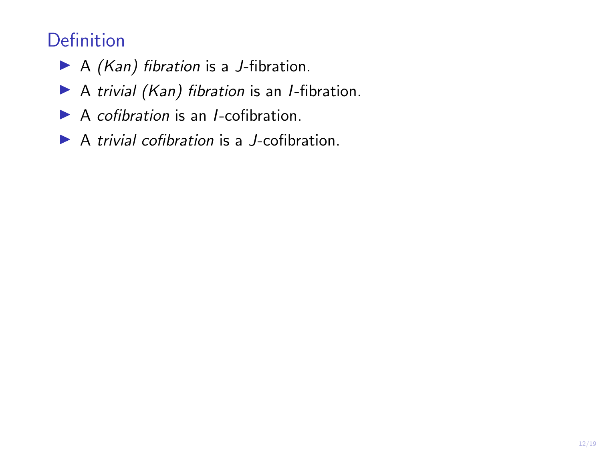- $\blacktriangleright$  A (Kan) fibration is a J-fibration.
- $\blacktriangleright$  A trivial (Kan) fibration is an *I*-fibration.
- $\blacktriangleright$  A cofibration is an *I*-cofibration.
- $\blacktriangleright$  A trivial cofibration is a J-cofibration.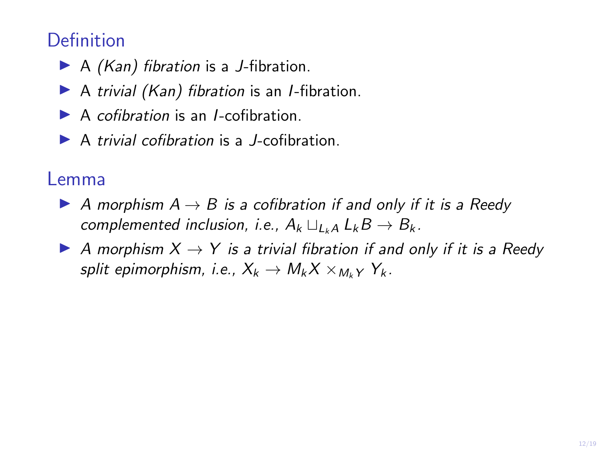- $\blacktriangleright$  A (Kan) fibration is a J-fibration.
- $\triangleright$  A trivial (Kan) fibration is an *I*-fibration.
- $\blacktriangleright$  A cofibration is an *I*-cofibration.
- $\triangleright$  A trivial cofibration is a *J*-cofibration.

#### Lemma

- A morphism  $A \rightarrow B$  is a cofibration if and only if it is a Reedy complemented inclusion, i.e.,  $A_k \sqcup_{k\downarrow} A \mathcal{L}_k B \rightarrow B_k$ .
- A morphism  $X \to Y$  is a trivial fibration if and only if it is a Reedy split epimorphism, i.e.,  $X_k \to M_k X \times_{M_k Y} Y_k$ .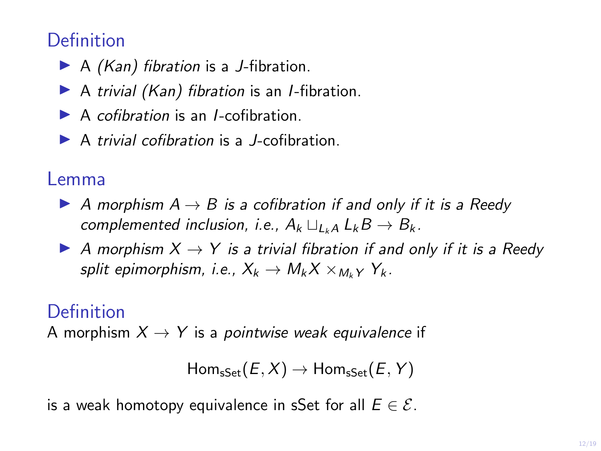- $\blacktriangleright$  A (Kan) fibration is a J-fibration.
- $\triangleright$  A trivial (Kan) fibration is an *I*-fibration.
- $\blacktriangleright$  A cofibration is an *I*-cofibration.
- $\blacktriangleright$  A trivial cofibration is a *I*-cofibration.

#### Lemma

- A morphism  $A \rightarrow B$  is a cofibration if and only if it is a Reedy complemented inclusion, i.e.,  $A_k \sqcup_{k\downarrow} A \mathcal{L}_k B \rightarrow B_k$ .
- A morphism  $X \to Y$  is a trivial fibration if and only if it is a Reedy split epimorphism, i.e.,  $X_k \to M_k X \times_{M_k Y} Y_k$ .

### **Definition**

A morphism  $X \rightarrow Y$  is a pointwise weak equivalence if

```
Hom_{\text{sset}}(E, X) \to Hom_{\text{sset}}(E, Y)
```
is a weak homotopy equivalence in sSet for all  $E \in \mathcal{E}$ .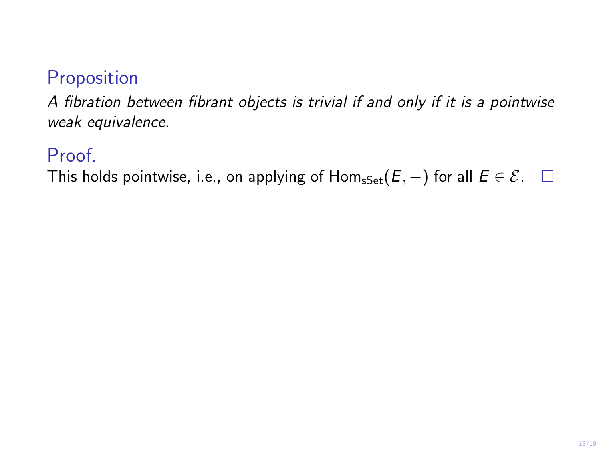### Proposition

A fibration between fibrant objects is trivial if and only if it is a pointwise weak equivalence.

#### Proof.

This holds pointwise, i.e., on applying of  $Hom_{sSet}(E, -)$  for all  $E \in \mathcal{E}$ .  $\square$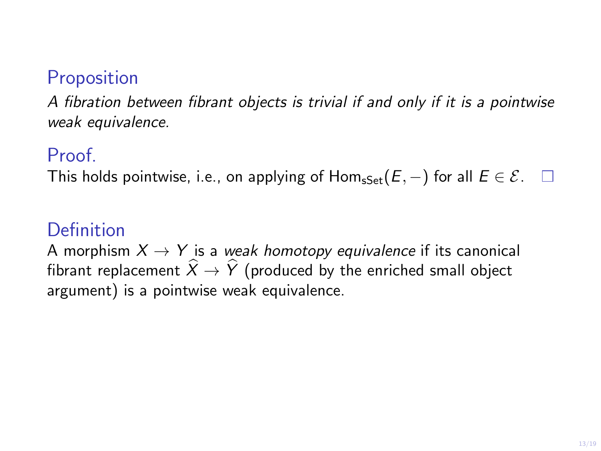### **Proposition**

A fibration between fibrant objects is trivial if and only if it is a pointwise weak equivalence.

#### Proof.

This holds pointwise, i.e., on applying of Hom<sub>sSet</sub>( $E$ ,  $-$ ) for all  $E \in \mathcal{E}$ .  $\square$ 

### Definition

A morphism  $X \rightarrow Y$  is a weak homotopy equivalence if its canonical fibrant replacement  $\hat{X} \rightarrow \hat{Y}$  (produced by the enriched small object argument) is a pointwise weak equivalence.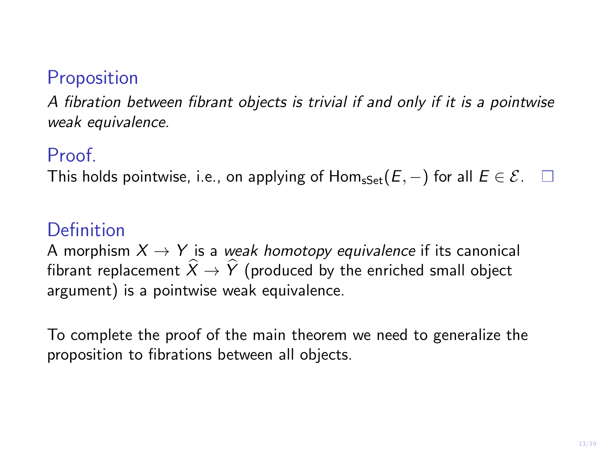### **Proposition**

A fibration between fibrant objects is trivial if and only if it is a pointwise weak equivalence.

#### Proof.

This holds pointwise, i.e., on applying of Hom<sub>sSet</sub>( $E$ ,  $-$ ) for all  $E \in \mathcal{E}$ .  $\square$ 

### Definition

A morphism  $X \rightarrow Y$  is a weak homotopy equivalence if its canonical fibrant replacement  $\hat{X} \rightarrow \hat{Y}$  (produced by the enriched small object argument) is a pointwise weak equivalence.

To complete the proof of the main theorem we need to generalize the proposition to fibrations between all objects.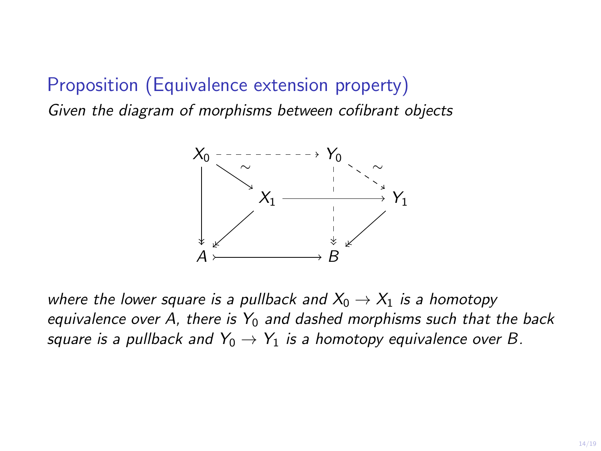# Proposition (Equivalence extension property)

Given the diagram of morphisms between cofibrant objects



where the lower square is a pullback and  $X_0 \rightarrow X_1$  is a homotopy equivalence over A, there is  $Y_0$  and dashed morphisms such that the back square is a pullback and  $Y_0 \rightarrow Y_1$  is a homotopy equivalence over B.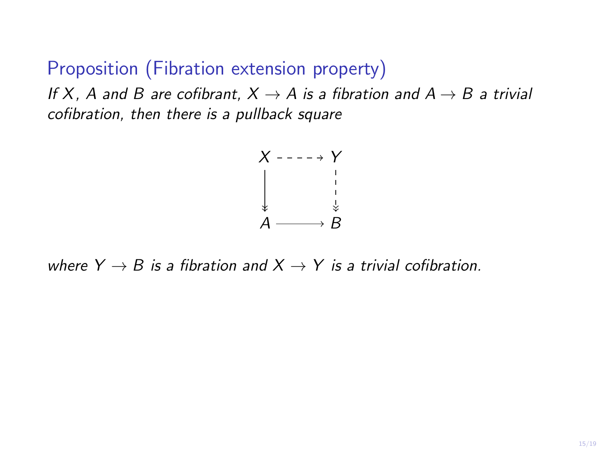Proposition (Fibration extension property)

If X, A and B are cofibrant,  $X \rightarrow A$  is a fibration and  $A \rightarrow B$  a trivial cofibration, then there is a pullback square



where  $Y \rightarrow B$  is a fibration and  $X \rightarrow Y$  is a trivial cofibration.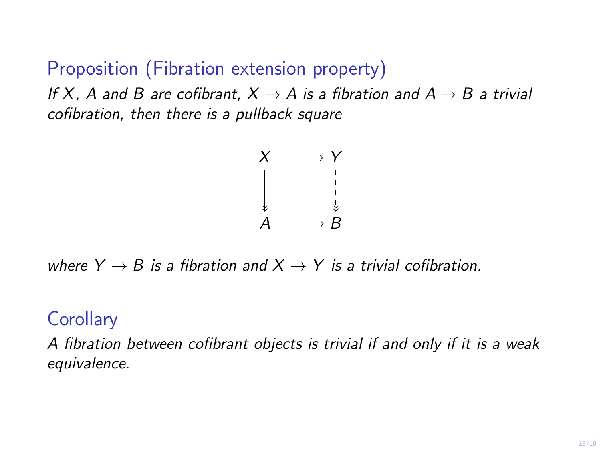Proposition (Fibration extension property)

If X, A and B are cofibrant,  $X \rightarrow A$  is a fibration and  $A \rightarrow B$  a trivial cofibration, then there is a pullback square



where  $Y \rightarrow B$  is a fibration and  $X \rightarrow Y$  is a trivial cofibration.

#### **Corollary**

A fibration between cofibrant objects is trivial if and only if it is a weak equivalence.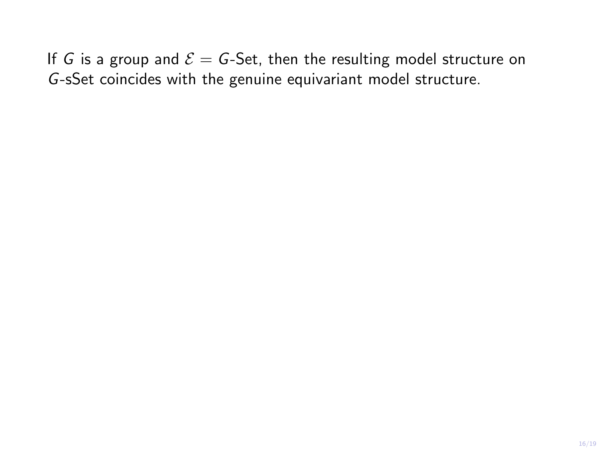If G is a group and  $\mathcal{E} = G$ -Set, then the resulting model structure on G-sSet coincides with the genuine equivariant model structure.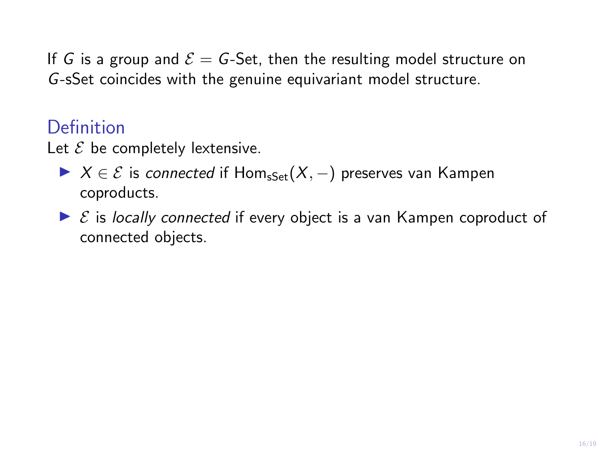If G is a group and  $\mathcal{E} = G$ -Set, then the resulting model structure on G-sSet coincides with the genuine equivariant model structure.

#### Definition

Let  $\mathcal E$  be completely lextensive.

- $\triangleright$   $X \in \mathcal{E}$  is connected if Hom<sub>sSet</sub> $(X, -)$  preserves van Kampen coproducts.
- $\triangleright$   $\mathcal{E}$  is locally connected if every object is a van Kampen coproduct of connected objects.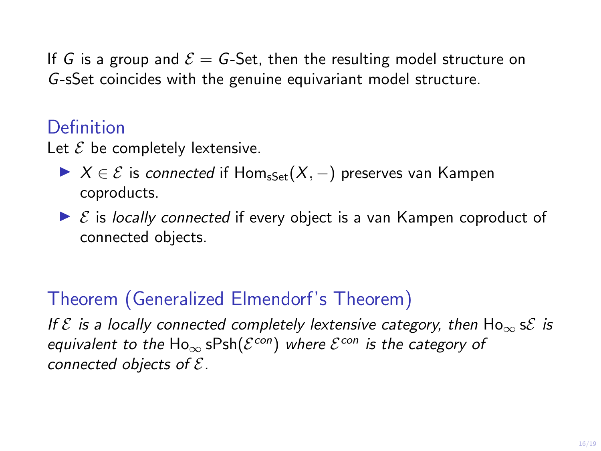If G is a group and  $\mathcal{E} = G$ -Set, then the resulting model structure on G-sSet coincides with the genuine equivariant model structure.

#### Definition

Let  $\mathcal E$  be completely lextensive.

- $\triangleright$   $X \in \mathcal{E}$  is connected if Hom<sub>sSet</sub> $(X, -)$  preserves van Kampen coproducts.
- $\triangleright$   $\mathcal{E}$  is locally connected if every object is a van Kampen coproduct of connected objects.

## Theorem (Generalized Elmendorf's Theorem)

If  $\mathcal E$  is a locally connected completely lextensive category, then  $\text{Ho}_{\infty}$  s $\mathcal E$  is equivalent to the  $\mathsf{Ho}_\infty$  s $\mathsf{Psh}(\mathcal{E}^\mathsf{con})$  where  $\mathcal{E}^\mathsf{con}$  is the category of connected objects of  $E$ .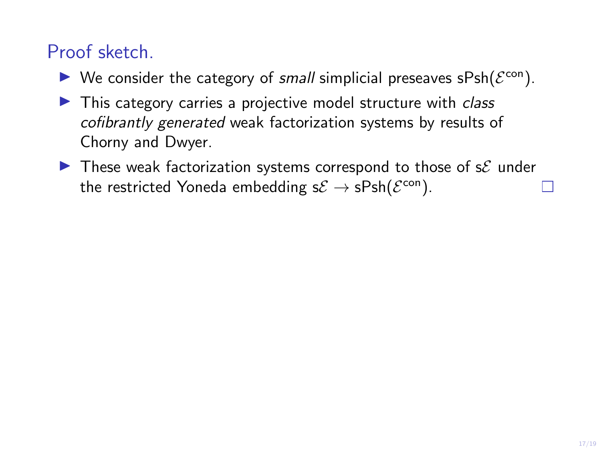## Proof sketch.

- $\blacktriangleright$  We consider the category of small simplicial preseaves sPsh( $\mathcal{E}^{\text{con}}$ ).
- $\blacktriangleright$  This category carries a projective model structure with *class* cofibrantly generated weak factorization systems by results of Chorny and Dwyer.
- $\blacktriangleright$  These weak factorization systems correspond to those of s $\mathcal E$  under the restricted Yoneda embedding s $\mathcal{E} \to \mathsf{sPsh}(\mathcal{E}^\mathsf{con}).$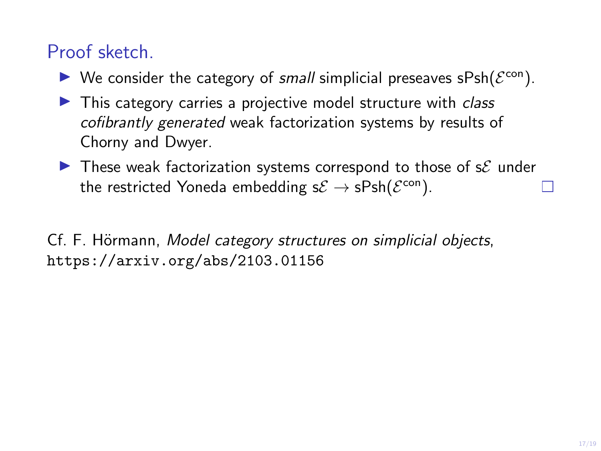## Proof sketch.

- $\blacktriangleright$  We consider the category of small simplicial preseaves sPsh( $\mathcal{E}^{\text{con}}$ ).
- $\blacktriangleright$  This category carries a projective model structure with *class* cofibrantly generated weak factorization systems by results of Chorny and Dwyer.
- $\triangleright$  These weak factorization systems correspond to those of s $\mathcal E$  under the restricted Yoneda embedding s $\mathcal{E} \to \mathsf{sPsh}(\mathcal{E}^\mathsf{con}).$

Cf. F. Hörmann, Model category structures on simplicial objects, https://arxiv.org/abs/2103.01156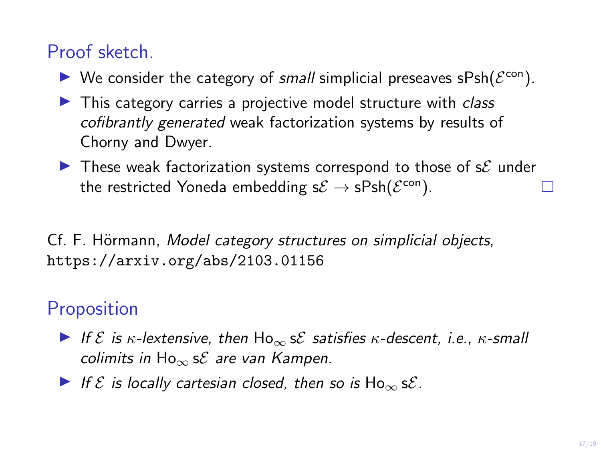## Proof sketch.

- $\blacktriangleright$  We consider the category of small simplicial preseaves sPsh( $\mathcal{E}^{\text{con}}$ ).
- $\blacktriangleright$  This category carries a projective model structure with *class* cofibrantly generated weak factorization systems by results of Chorny and Dwyer.
- $\blacktriangleright$  These weak factorization systems correspond to those of s $\mathcal E$  under the restricted Yoneda embedding s $\mathcal{E} \to \mathsf{sPsh}(\mathcal{E}^\mathsf{con}).$

Cf. F. Hörmann, Model category structures on simplicial objects, https://arxiv.org/abs/2103.01156

## **Proposition**

- If  $\mathcal E$  is  $\kappa$ -lextensive, then  $\text{Ho}_{\infty}$  s $\mathcal E$  satisfies  $\kappa$ -descent, i.e.,  $\kappa$ -small colimits in  $Ho_{\infty}$  s ${\mathcal{E}}$  are van Kampen.
- If  $\mathcal E$  is locally cartesian closed, then so is  $\text{Ho}_{\infty}$  s $\mathcal E$ .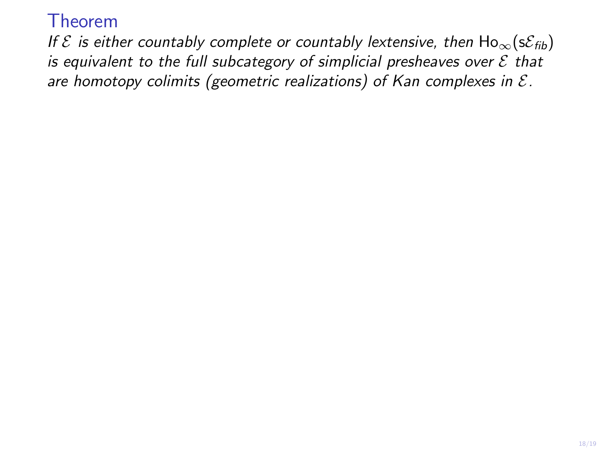If  $\mathcal E$  is either countably complete or countably lextensive, then  $\text{Ho}_{\infty}(\text{s}\mathcal E_{\text{fib}})$ is equivalent to the full subcategory of simplicial presheaves over  $\mathcal E$  that are homotopy colimits (geometric realizations) of Kan complexes in  $\mathcal{E}$ .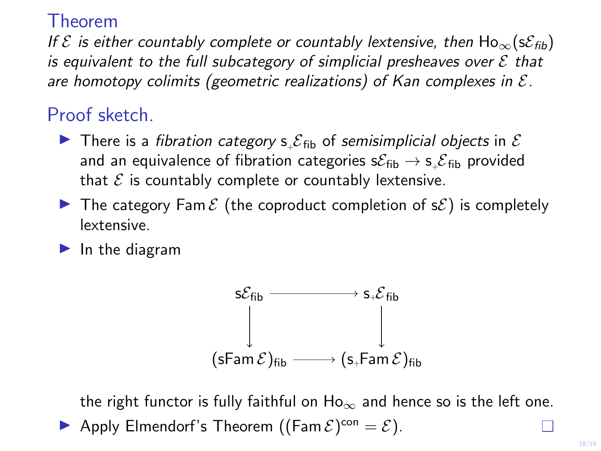If  $\mathcal E$  is either countably complete or countably lextensive, then  $\text{Ho}_{\infty}(\text{s}\mathcal E_{\text{fib}})$ is equivalent to the full subcategory of simplicial presheaves over  $\mathcal E$  that are homotopy colimits (geometric realizations) of Kan complexes in  $\mathcal{E}$ .

### Proof sketch.

- There is a fibration category  $s_{+}S_{fib}$  of semisimplicial objects in  $\mathcal E$ and an equivalence of fibration categories s $\mathcal{E}_{\mathsf{fib}} \to$  s $\_ \mathcal{E}_{\mathsf{fib}}$  provided that  $\mathcal E$  is countably complete or countably lextensive.
- In The category Fam  $\mathcal{E}$  (the coproduct completion of  $\mathcal{E}$ ) is completely lextensive.
- $\blacktriangleright$  In the diagram



the right functor is fully faithful on  $Ho_{\infty}$  and hence so is the left one. Apply Elmendorf's Theorem ( $(\text{Fam }\mathcal{E})^{\text{con}} = \mathcal{E}$ ).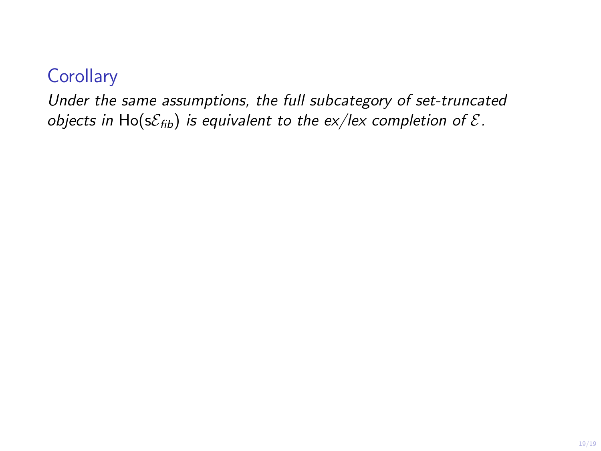### **Corollary**

Under the same assumptions, the full subcategory of set-truncated objects in Ho( $s\mathcal{E}_{fib}$ ) is equivalent to the ex/lex completion of  $\mathcal{E}$ .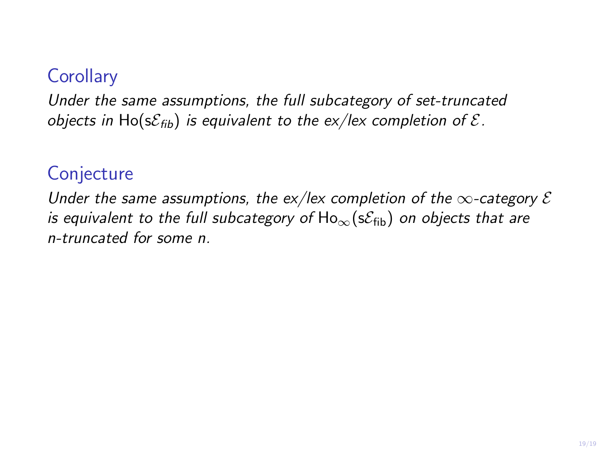### **Corollary**

Under the same assumptions, the full subcategory of set-truncated objects in Ho( $s\mathcal{E}_{fib}$ ) is equivalent to the ex/lex completion of  $\mathcal{E}$ .

#### **Conjecture**

Under the same assumptions, the ex/lex completion of the  $\infty$ -category  $\mathcal E$ is equivalent to the full subcategory of  $Ho_{\infty}(s\mathcal{E}_{fib})$  on objects that are n-truncated for some n.